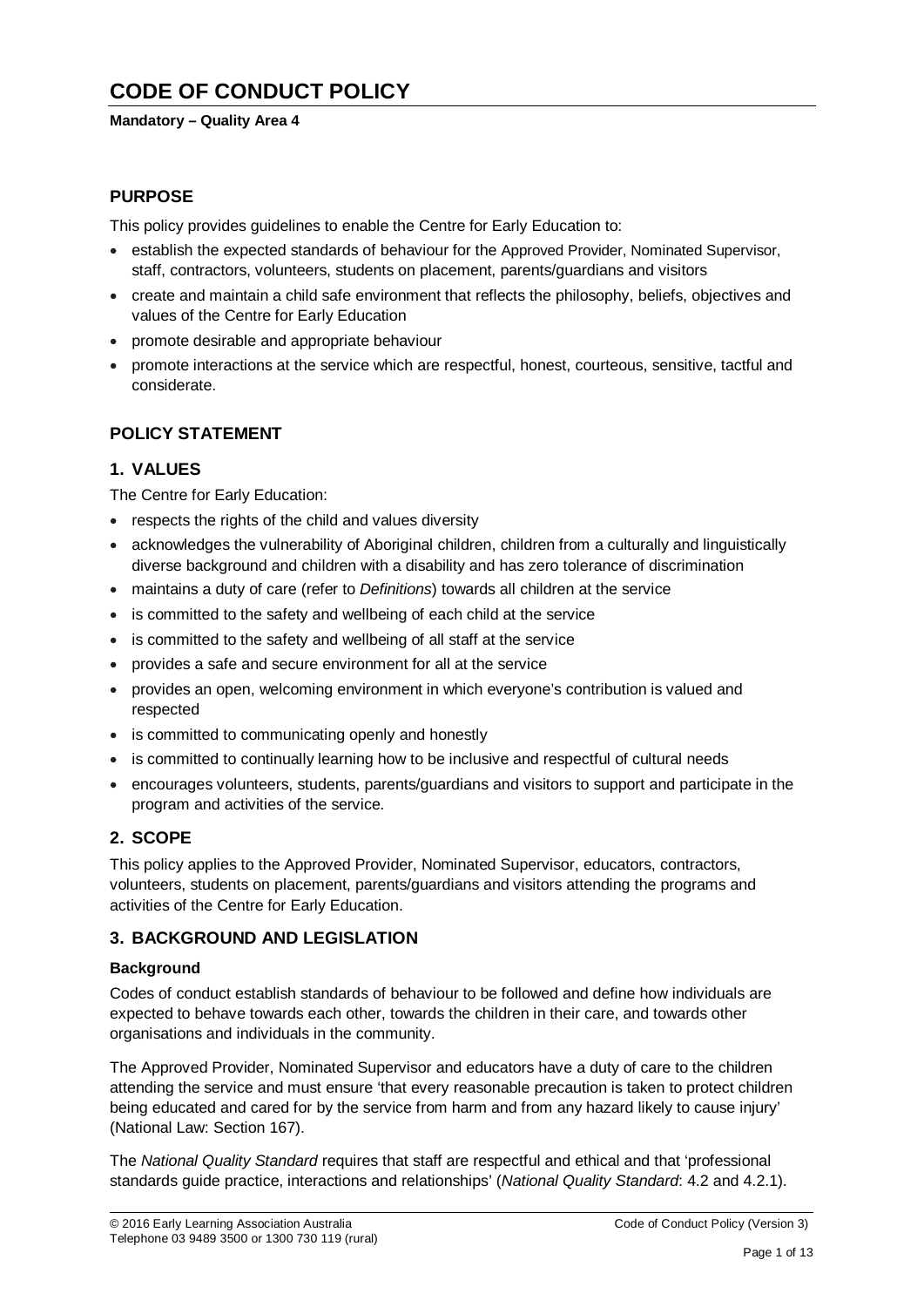# **CODE OF CONDUCT POLICY**

# **Mandatory – Quality Area 4**

# **PURPOSE**

This policy provides guidelines to enable the Centre for Early Education to:

- establish the expected standards of behaviour for the Approved Provider, Nominated Supervisor, staff, contractors, volunteers, students on placement, parents/guardians and visitors
- create and maintain a child safe environment that reflects the philosophy, beliefs, objectives and values of the Centre for Early Education
- promote desirable and appropriate behaviour
- promote interactions at the service which are respectful, honest, courteous, sensitive, tactful and considerate.

# **POLICY STATEMENT**

# **1. VALUES**

The Centre for Early Education:

- respects the rights of the child and values diversity
- acknowledges the vulnerability of Aboriginal children, children from a culturally and linguistically diverse background and children with a disability and has zero tolerance of discrimination
- maintains a duty of care (refer to *Definitions*) towards all children at the service
- is committed to the safety and wellbeing of each child at the service
- is committed to the safety and wellbeing of all staff at the service
- provides a safe and secure environment for all at the service
- provides an open, welcoming environment in which everyone's contribution is valued and respected
- is committed to communicating openly and honestly
- is committed to continually learning how to be inclusive and respectful of cultural needs
- encourages volunteers, students, parents/guardians and visitors to support and participate in the program and activities of the service.

# **2. SCOPE**

This policy applies to the Approved Provider, Nominated Supervisor, educators, contractors, volunteers, students on placement, parents/guardians and visitors attending the programs and activities of the Centre for Early Education.

# **3. BACKGROUND AND LEGISLATION**

#### **Background**

Codes of conduct establish standards of behaviour to be followed and define how individuals are expected to behave towards each other, towards the children in their care, and towards other organisations and individuals in the community.

The Approved Provider, Nominated Supervisor and educators have a duty of care to the children attending the service and must ensure 'that every reasonable precaution is taken to protect children being educated and cared for by the service from harm and from any hazard likely to cause injury' (National Law: Section 167).

The *National Quality Standard* requires that staff are respectful and ethical and that 'professional standards guide practice, interactions and relationships' (*National Quality Standard*: 4.2 and 4.2.1).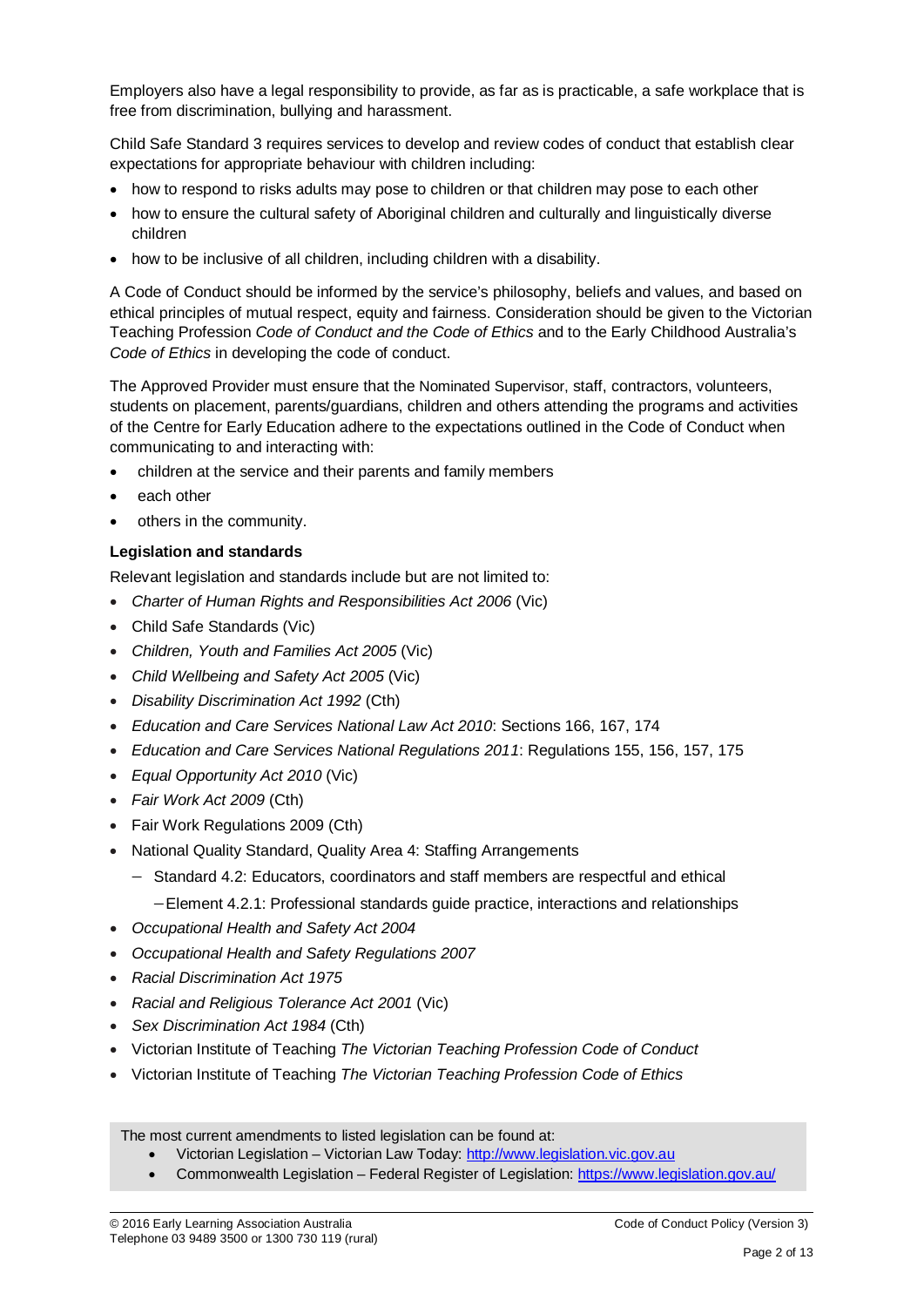Employers also have a legal responsibility to provide, as far as is practicable, a safe workplace that is free from discrimination, bullying and harassment.

Child Safe Standard 3 requires services to develop and review codes of conduct that establish clear expectations for appropriate behaviour with children including:

- how to respond to risks adults may pose to children or that children may pose to each other
- how to ensure the cultural safety of Aboriginal children and culturally and linguistically diverse children
- how to be inclusive of all children, including children with a disability.

A Code of Conduct should be informed by the service's philosophy, beliefs and values, and based on ethical principles of mutual respect, equity and fairness. Consideration should be given to the Victorian Teaching Profession *Code of Conduct and the Code of Ethics* and to the Early Childhood Australia's *Code of Ethics* in developing the code of conduct.

The Approved Provider must ensure that the Nominated Supervisor, staff, contractors, volunteers, students on placement, parents/guardians, children and others attending the programs and activities of the Centre for Early Education adhere to the expectations outlined in the Code of Conduct when communicating to and interacting with:

- children at the service and their parents and family members
- each other
- others in the community.

#### **Legislation and standards**

Relevant legislation and standards include but are not limited to:

- *[Charter of Human Rights and Responsibilities Act 2006](http://www.legislation.vic.gov.au/Domino/Web_Notes/LDMS/PubStatbook.nsf/f932b66241ecf1b7ca256e92000e23be/54d73763ef9dca36ca2571b6002428b0!OpenDocument)* (Vic)
- Child Safe Standards (Vic)
- *Children, Youth and Families Act 2005* (Vic)
- *Child Wellbeing and Safety Act 2005* (Vic)
- *Disability Discrimination Act 1992* (Cth)
- *Education and Care Services National Law Act 2010*: Sections 166, 167, 174
- *Education and Care Services National Regulations 2011*: Regulations 155, 156, 157, 175
- *Equal Opportunity Act 2010* (Vic)
- *Fair Work Act 2009* (Cth)
- Fair Work Regulations 2009 (Cth)
- National Quality Standard, Quality Area 4: Staffing Arrangements
	- − Standard 4.2: Educators, coordinators and staff members are respectful and ethical
		- −Element 4.2.1: Professional standards guide practice, interactions and relationships
- *Occupational Health and Safety Act 2004*
- *Occupational Health and Safety Regulations 2007*
- *Racial Discrimination Act 1975*
- *[Racial and Religious Tolerance Act 2001](http://www.legislation.vic.gov.au/Domino/Web_Notes/LDMS/PubLawToday.nsf/a12f6f60fbd56800ca256de500201e54/ab66aeef028f70e7ca2576400082797c%21OpenDocument)* (Vic)
- *Sex Discrimination Act 1984* (Cth)
- Victorian Institute of Teaching *The Victorian Teaching Profession Code of Conduct*
- Victorian Institute of Teaching *The Victorian Teaching Profession Code of Ethics*

The most current amendments to listed legislation can be found at:

- Victorian Legislation Victorian Law Today: [http://www.legislation.vic.gov.au](http://www.legislation.vic.gov.au/)
- Commonwealth Legislation Federal Register of Legislation:<https://www.legislation.gov.au/>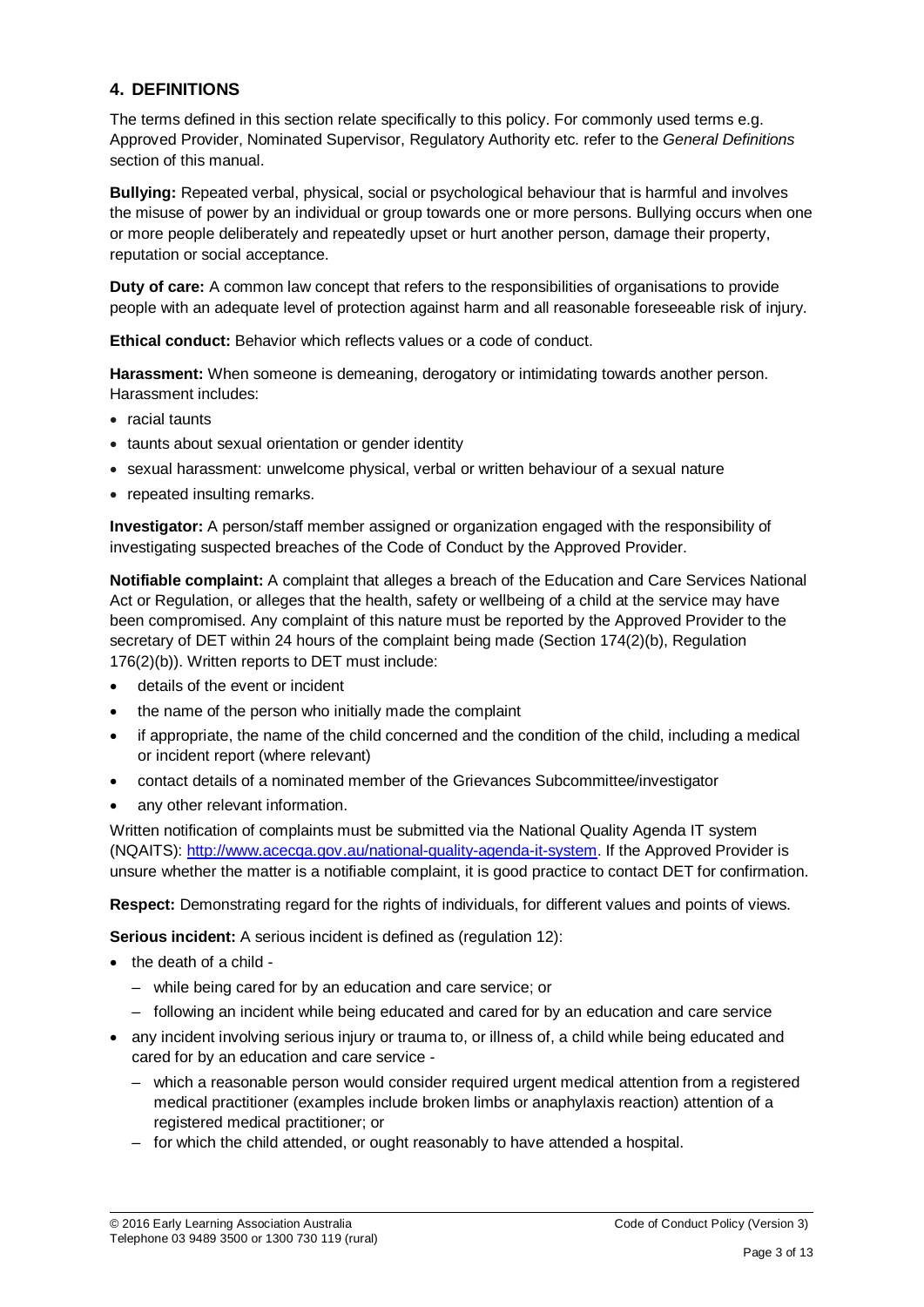# **4. DEFINITIONS**

The terms defined in this section relate specifically to this policy. For commonly used terms e.g. Approved Provider, Nominated Supervisor, Regulatory Authority etc. refer to the *General Definitions* section of this manual.

**Bullying:** Repeated verbal, physical, social or psychological behaviour that is harmful and involves the misuse of power by an individual or group towards one or more persons. Bullying occurs when one or more people deliberately and repeatedly upset or hurt another person, damage their property, reputation or social acceptance.

**Duty of care:** A common law concept that refers to the responsibilities of organisations to provide people with an adequate level of protection against harm and all reasonable foreseeable risk of injury.

**Ethical conduct:** Behavior which reflects values or a code of conduct.

**Harassment:** When someone is demeaning, derogatory or intimidating towards another person. Harassment includes:

- racial taunts
- taunts about sexual orientation or gender identity
- sexual harassment: unwelcome physical, verbal or written behaviour of a sexual nature
- repeated insulting remarks.

**Investigator:** A person/staff member assigned or organization engaged with the responsibility of investigating suspected breaches of the Code of Conduct by the Approved Provider.

**Notifiable complaint:** A complaint that alleges a breach of the Education and Care Services National Act or Regulation, or alleges that the health, safety or wellbeing of a child at the service may have been compromised. Any complaint of this nature must be reported by the Approved Provider to the secretary of DET within 24 hours of the complaint being made (Section 174(2)(b), Regulation 176(2)(b)). Written reports to DET must include:

- details of the event or incident
- the name of the person who initially made the complaint
- if appropriate, the name of the child concerned and the condition of the child, including a medical or incident report (where relevant)
- contact details of a nominated member of the Grievances Subcommittee/investigator
- any other relevant information.

Written notification of complaints must be submitted via the National Quality Agenda IT system (NQAITS): [http://www.acecqa.gov.au/national-quality-agenda-it-system.](http://www.acecqa.gov.au/national-quality-agenda-it-system) If the Approved Provider is unsure whether the matter is a notifiable complaint, it is good practice to contact DET for confirmation.

**Respect:** Demonstrating regard for the rights of individuals, for different values and points of views.

**Serious incident:** A serious incident is defined as (regulation 12):

- the death of a child
	- while being cared for by an education and care service; or
	- following an incident while being educated and cared for by an education and care service
- any incident involving serious injury or trauma to, or illness of, a child while being educated and cared for by an education and care service -
	- which a reasonable person would consider required urgent medical attention from a registered medical practitioner (examples include broken limbs or anaphylaxis reaction) attention of a registered medical practitioner; or
	- for which the child attended, or ought reasonably to have attended a hospital.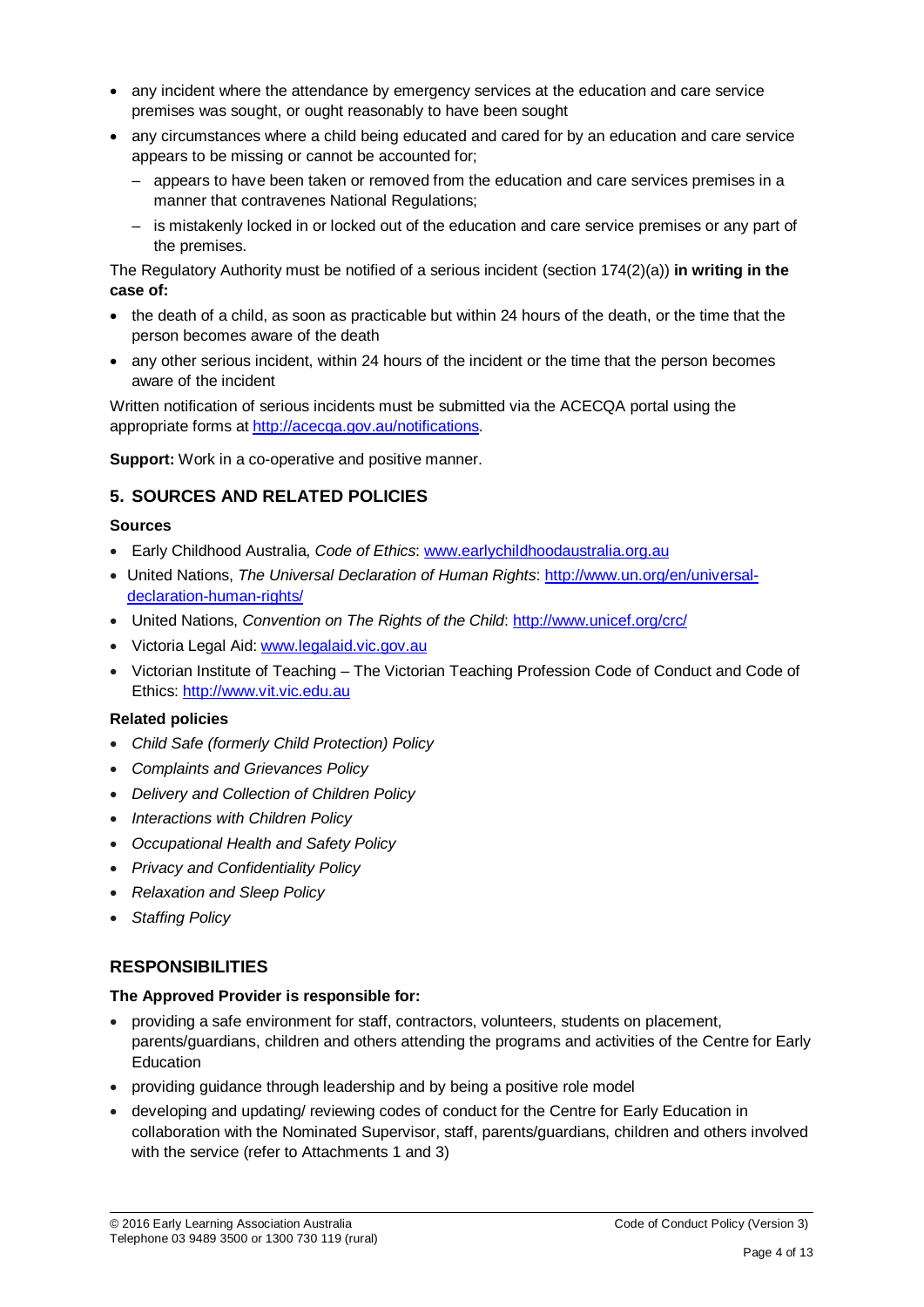- any incident where the attendance by emergency services at the education and care service premises was sought, or ought reasonably to have been sought
- any circumstances where a child being educated and cared for by an education and care service appears to be missing or cannot be accounted for;
	- appears to have been taken or removed from the education and care services premises in a manner that contravenes National Regulations;
	- is mistakenly locked in or locked out of the education and care service premises or any part of the premises.

The Regulatory Authority must be notified of a serious incident (section 174(2)(a)) **in writing in the case of:**

- the death of a child, as soon as practicable but within 24 hours of the death, or the time that the person becomes aware of the death
- any other serious incident, within 24 hours of the incident or the time that the person becomes aware of the incident

Written notification of serious incidents must be submitted via the ACECQA portal using the appropriate forms at [http://acecqa.gov.au/notifications.](http://acecqa.gov.au/notifications)

**Support:** Work in a co-operative and positive manner.

# **5. SOURCES AND RELATED POLICIES**

#### **Sources**

- Early Childhood Australia, *Code of Ethics*: [www.earlychildhoodaustralia.org.au](http://www.earlychildhoodaustralia.org.au/)
- United Nations, *The Universal Declaration of Human Rights*: [http://www.un.org/en/universal](http://www.un.org/en/universal-declaration-human-rights/)[declaration-human-rights/](http://www.un.org/en/universal-declaration-human-rights/)
- United Nations, *Convention on The Rights of the Child*:<http://www.unicef.org/crc/>
- Victoria Legal Aid: [www.legalaid.vic.gov.au](http://www.legalaid.vic.gov.au/)
- Victorian Institute of Teaching The Victorian Teaching Profession Code of Conduct and Code of Ethics: [http://www.vit.vic.edu.au](http://www.vit.vic.edu.au/)

#### **Related policies**

- *Child Safe (formerly Child Protection) Policy*
- *Complaints and Grievances Policy*
- *Delivery and Collection of Children Policy*
- *Interactions with Children Policy*
- *Occupational Health and Safety Policy*
- *Privacy and Confidentiality Policy*
- *Relaxation and Sleep Policy*
- *Staffing Policy*

# **RESPONSIBILITIES**

#### **The Approved Provider is responsible for:**

- providing a safe environment for staff, contractors, volunteers, students on placement, parents/guardians, children and others attending the programs and activities of the Centre for Early Education
- providing guidance through leadership and by being a positive role model
- developing and updating/ reviewing codes of conduct for the Centre for Early Education in collaboration with the Nominated Supervisor, staff, parents/guardians, children and others involved with the service (refer to Attachments 1 and 3)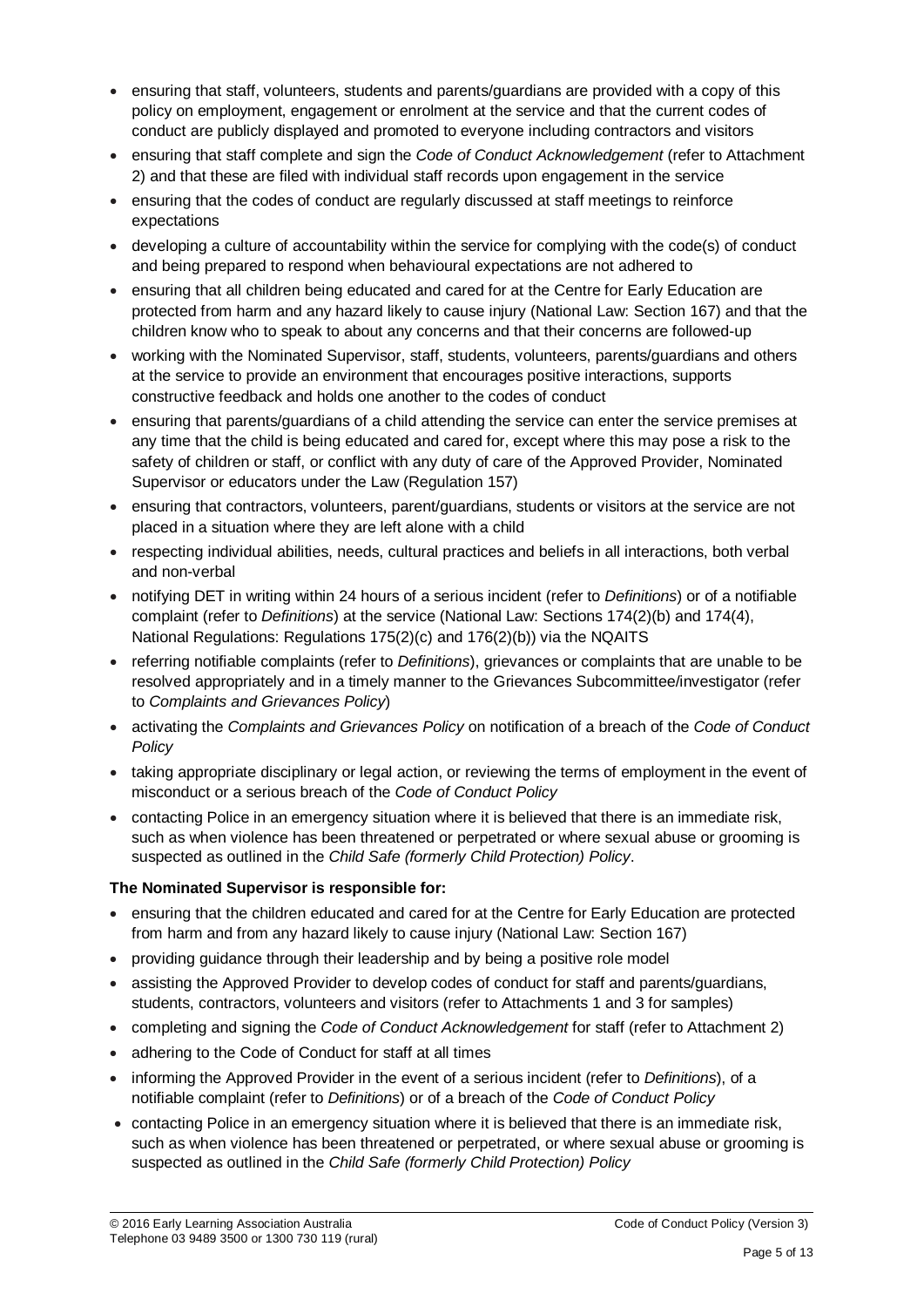- ensuring that staff, volunteers, students and parents/guardians are provided with a copy of this policy on employment, engagement or enrolment at the service and that the current codes of conduct are publicly displayed and promoted to everyone including contractors and visitors
- ensuring that staff complete and sign the *Code of Conduct Acknowledgement* (refer to Attachment 2) and that these are filed with individual staff records upon engagement in the service
- ensuring that the codes of conduct are regularly discussed at staff meetings to reinforce expectations
- developing a culture of accountability within the service for complying with the code(s) of conduct and being prepared to respond when behavioural expectations are not adhered to
- ensuring that all children being educated and cared for at the Centre for Early Education are protected from harm and any hazard likely to cause injury (National Law: Section 167) and that the children know who to speak to about any concerns and that their concerns are followed-up
- working with the Nominated Supervisor, staff, students, volunteers, parents/guardians and others at the service to provide an environment that encourages positive interactions, supports constructive feedback and holds one another to the codes of conduct
- ensuring that parents/guardians of a child attending the service can enter the service premises at any time that the child is being educated and cared for, except where this may pose a risk to the safety of children or staff, or conflict with any duty of care of the Approved Provider, Nominated Supervisor or educators under the Law (Regulation 157)
- ensuring that contractors, volunteers, parent/guardians, students or visitors at the service are not placed in a situation where they are left alone with a child
- respecting individual abilities, needs, cultural practices and beliefs in all interactions, both verbal and non-verbal
- notifying DET in writing within 24 hours of a serious incident (refer to *Definitions*) or of a notifiable complaint (refer to *Definitions*) at the service (National Law: Sections 174(2)(b) and 174(4), National Regulations: Regulations 175(2)(c) and 176(2)(b)) via the NQAITS
- referring notifiable complaints (refer to *Definitions*), grievances or complaints that are unable to be resolved appropriately and in a timely manner to the Grievances Subcommittee/investigator (refer to *Complaints and Grievances Policy*)
- activating the *Complaints and Grievances Policy* on notification of a breach of the *Code of Conduct Policy*
- taking appropriate disciplinary or legal action, or reviewing the terms of employment in the event of misconduct or a serious breach of the *Code of Conduct Policy*
- contacting Police in an emergency situation where it is believed that there is an immediate risk, such as when violence has been threatened or perpetrated or where sexual abuse or grooming is suspected as outlined in the *Child Safe (formerly Child Protection) Policy*.

# **The Nominated Supervisor is responsible for:**

- ensuring that the children educated and cared for at the Centre for Early Education are protected from harm and from any hazard likely to cause injury (National Law: Section 167)
- providing guidance through their leadership and by being a positive role model
- assisting the Approved Provider to develop codes of conduct for staff and parents/guardians, students, contractors, volunteers and visitors (refer to Attachments 1 and 3 for samples)
- completing and signing the *Code of Conduct Acknowledgement* for staff (refer to Attachment 2)
- adhering to the Code of Conduct for staff at all times
- informing the Approved Provider in the event of a serious incident (refer to *Definitions*), of a notifiable complaint (refer to *Definitions*) or of a breach of the *Code of Conduct Policy*
- contacting Police in an emergency situation where it is believed that there is an immediate risk, such as when violence has been threatened or perpetrated, or where sexual abuse or grooming is suspected as outlined in the *Child Safe (formerly Child Protection) Policy*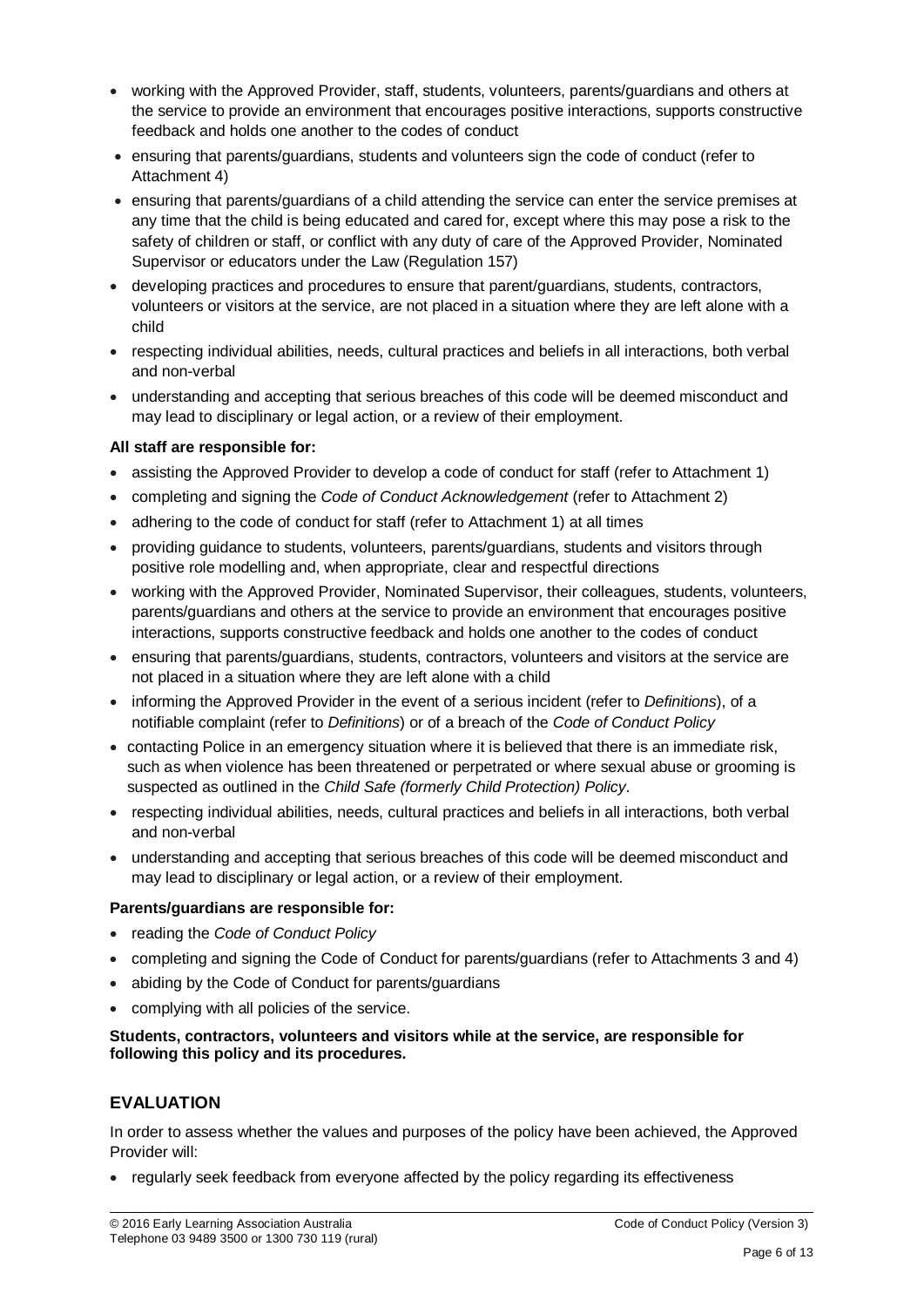- working with the Approved Provider, staff, students, volunteers, parents/guardians and others at the service to provide an environment that encourages positive interactions, supports constructive feedback and holds one another to the codes of conduct
- ensuring that parents/guardians, students and volunteers sign the code of conduct (refer to Attachment 4)
- ensuring that parents/guardians of a child attending the service can enter the service premises at any time that the child is being educated and cared for, except where this may pose a risk to the safety of children or staff, or conflict with any duty of care of the Approved Provider, Nominated Supervisor or educators under the Law (Regulation 157)
- developing practices and procedures to ensure that parent/guardians, students, contractors, volunteers or visitors at the service, are not placed in a situation where they are left alone with a child
- respecting individual abilities, needs, cultural practices and beliefs in all interactions, both verbal and non-verbal
- understanding and accepting that serious breaches of this code will be deemed misconduct and may lead to disciplinary or legal action, or a review of their employment.

#### **All staff are responsible for:**

- assisting the Approved Provider to develop a code of conduct for staff (refer to Attachment 1)
- completing and signing the *Code of Conduct Acknowledgement* (refer to Attachment 2)
- adhering to the code of conduct for staff (refer to Attachment 1) at all times
- providing guidance to students, volunteers, parents/guardians, students and visitors through positive role modelling and, when appropriate, clear and respectful directions
- working with the Approved Provider, Nominated Supervisor, their colleagues, students, volunteers, parents/guardians and others at the service to provide an environment that encourages positive interactions, supports constructive feedback and holds one another to the codes of conduct
- ensuring that parents/guardians, students, contractors, volunteers and visitors at the service are not placed in a situation where they are left alone with a child
- informing the Approved Provider in the event of a serious incident (refer to *Definitions*), of a notifiable complaint (refer to *Definitions*) or of a breach of the *Code of Conduct Policy*
- contacting Police in an emergency situation where it is believed that there is an immediate risk, such as when violence has been threatened or perpetrated or where sexual abuse or grooming is suspected as outlined in the *Child Safe (formerly Child Protection) Policy*.
- respecting individual abilities, needs, cultural practices and beliefs in all interactions, both verbal and non-verbal
- understanding and accepting that serious breaches of this code will be deemed misconduct and may lead to disciplinary or legal action, or a review of their employment.

#### **Parents/guardians are responsible for:**

- reading the *Code of Conduct Policy*
- completing and signing the Code of Conduct for parents/guardians (refer to Attachments 3 and 4)
- abiding by the Code of Conduct for parents/guardians
- complying with all policies of the service.

#### **Students, contractors, volunteers and visitors while at the service, are responsible for following this policy and its procedures.**

# **EVALUATION**

In order to assess whether the values and purposes of the policy have been achieved, the Approved Provider will:

• regularly seek feedback from everyone affected by the policy regarding its effectiveness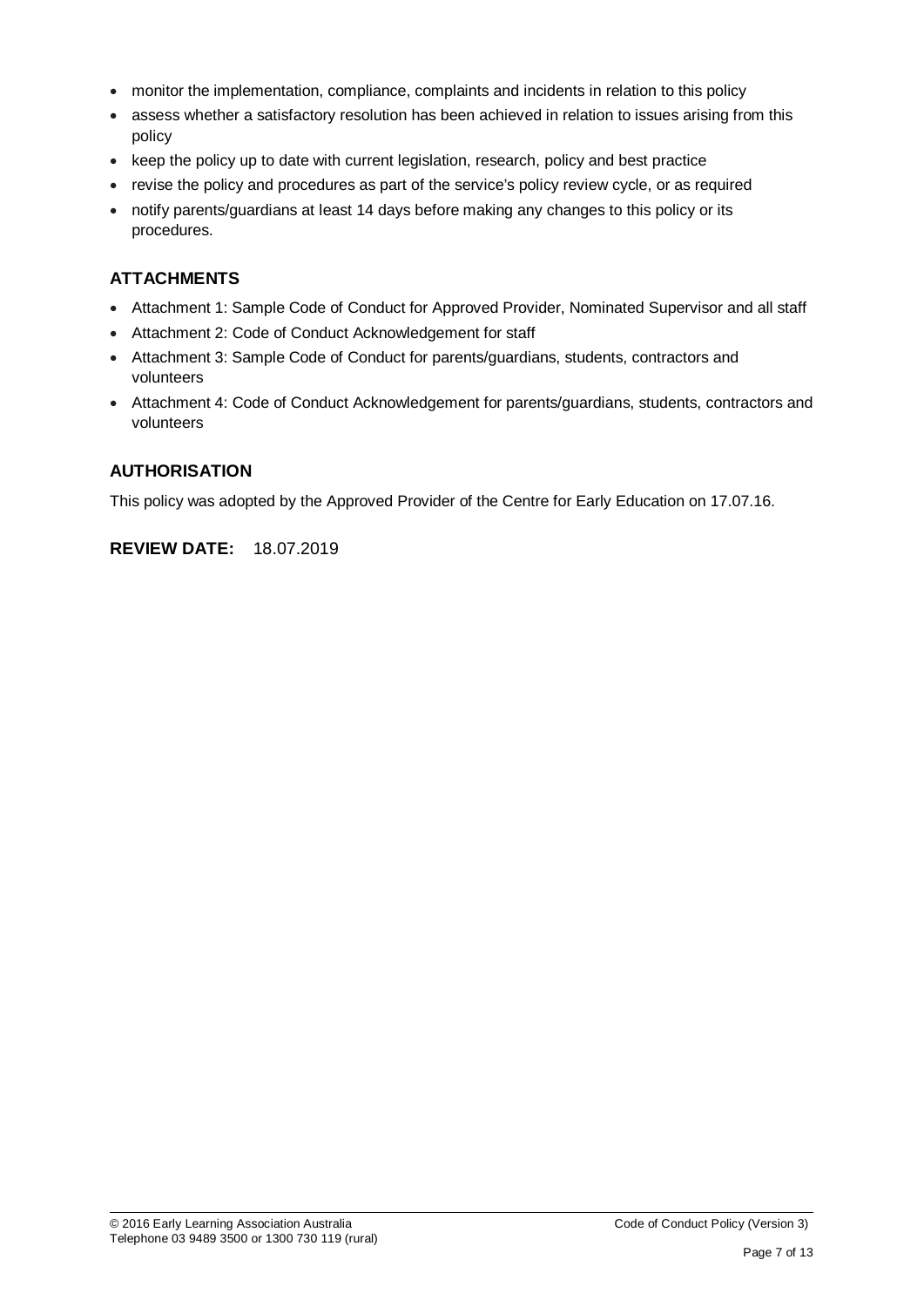- monitor the implementation, compliance, complaints and incidents in relation to this policy
- assess whether a satisfactory resolution has been achieved in relation to issues arising from this policy
- keep the policy up to date with current legislation, research, policy and best practice
- revise the policy and procedures as part of the service's policy review cycle, or as required
- notify parents/guardians at least 14 days before making any changes to this policy or its procedures.

# **ATTACHMENTS**

- Attachment 1: Sample Code of Conduct for Approved Provider, Nominated Supervisor and all staff
- Attachment 2: Code of Conduct Acknowledgement for staff
- Attachment 3: Sample Code of Conduct for parents/guardians, students, contractors and volunteers
- Attachment 4: Code of Conduct Acknowledgement for parents/guardians, students, contractors and volunteers

# **AUTHORISATION**

This policy was adopted by the Approved Provider of the Centre for Early Education on 17.07.16.

# **REVIEW DATE:** 18.07.2019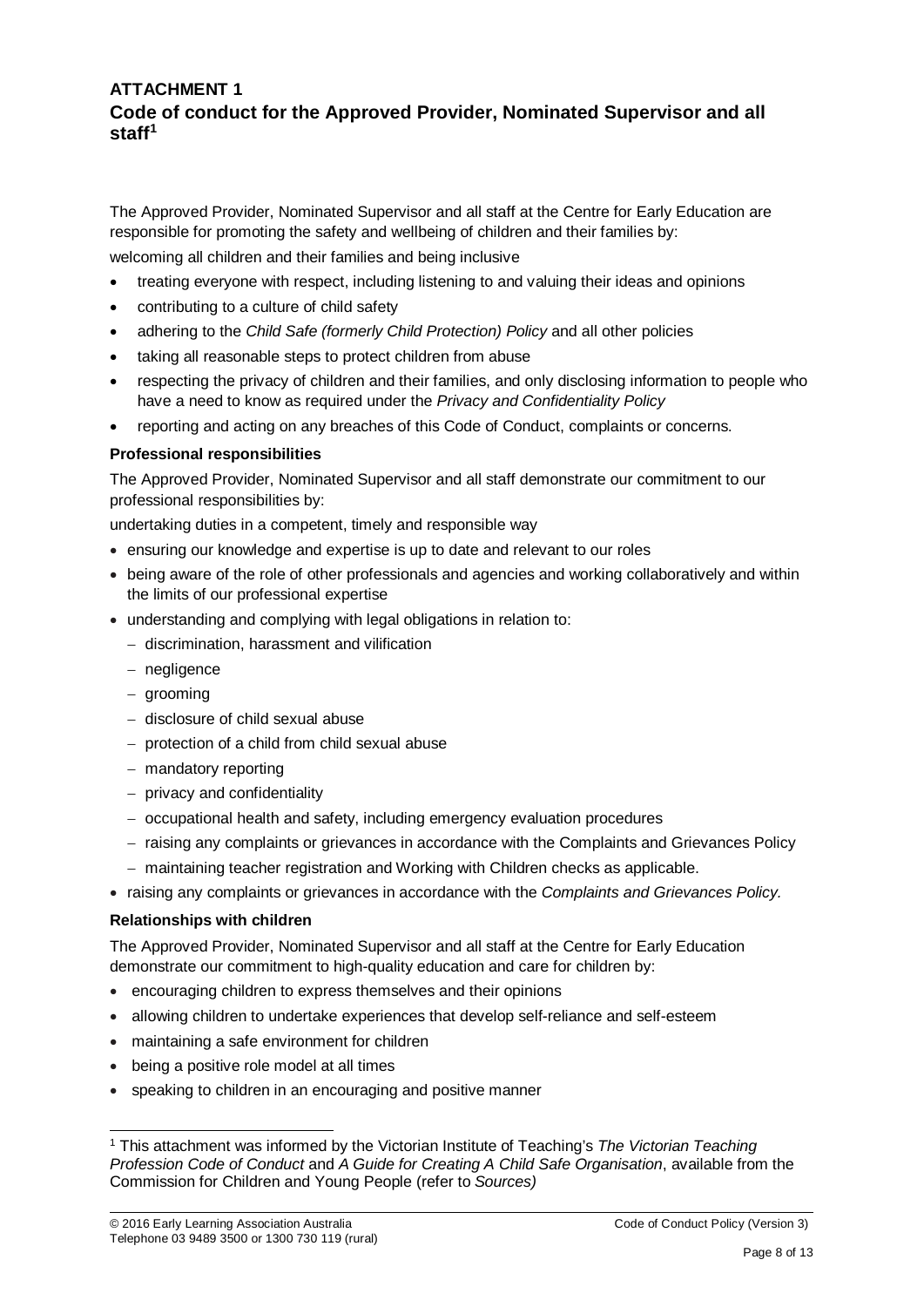# **ATTACHMENT 1 Code of conduct for the Approved Provider, Nominated Supervisor and all staff[1](#page-7-0)**

The Approved Provider, Nominated Supervisor and all staff at the Centre for Early Education are responsible for promoting the safety and wellbeing of children and their families by:

welcoming all children and their families and being inclusive

- treating everyone with respect, including listening to and valuing their ideas and opinions
- contributing to a culture of child safety
- adhering to the *Child Safe (formerly Child Protection) Policy* and all other policies
- taking all reasonable steps to protect children from abuse
- respecting the privacy of children and their families, and only disclosing information to people who have a need to know as required under the *Privacy and Confidentiality Policy*
- reporting and acting on any breaches of this Code of Conduct, complaints or concerns.

#### **Professional responsibilities**

The Approved Provider, Nominated Supervisor and all staff demonstrate our commitment to our professional responsibilities by:

undertaking duties in a competent, timely and responsible way

- ensuring our knowledge and expertise is up to date and relevant to our roles
- being aware of the role of other professionals and agencies and working collaboratively and within the limits of our professional expertise
- understanding and complying with legal obligations in relation to:
	- − discrimination, harassment and vilification
	- − negligence
	- − grooming
	- − disclosure of child sexual abuse
	- − protection of a child from child sexual abuse
	- − mandatory reporting
	- − privacy and confidentiality
	- − occupational health and safety, including emergency evaluation procedures
	- − raising any complaints or grievances in accordance with the Complaints and Grievances Policy
	- − maintaining teacher registration and Working with Children checks as applicable.
- raising any complaints or grievances in accordance with the *Complaints and Grievances Policy.*

#### **Relationships with children**

The Approved Provider, Nominated Supervisor and all staff at the Centre for Early Education demonstrate our commitment to high-quality education and care for children by:

- encouraging children to express themselves and their opinions
- allowing children to undertake experiences that develop self-reliance and self-esteem
- maintaining a safe environment for children
- being a positive role model at all times
- speaking to children in an encouraging and positive manner

<span id="page-7-0"></span> <sup>1</sup> This attachment was informed by the Victorian Institute of Teaching's *The Victorian Teaching Profession Code of Conduct* and *A Guide for Creating A Child Safe Organisation*, available from the Commission for Children and Young People (refer to *Sources)*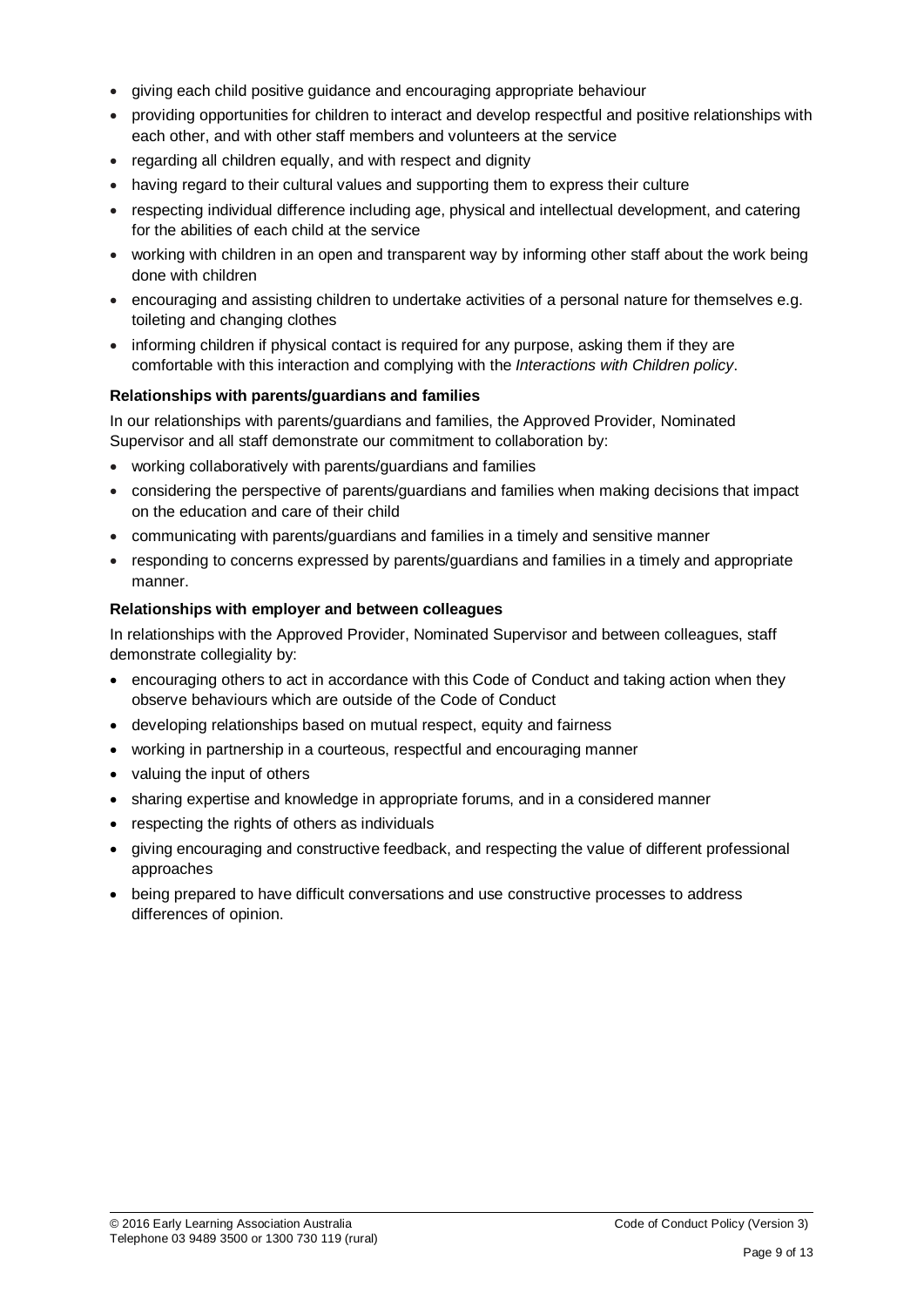- giving each child positive guidance and encouraging appropriate behaviour
- providing opportunities for children to interact and develop respectful and positive relationships with each other, and with other staff members and volunteers at the service
- regarding all children equally, and with respect and dignity
- having regard to their cultural values and supporting them to express their culture
- respecting individual difference including age, physical and intellectual development, and catering for the abilities of each child at the service
- working with children in an open and transparent way by informing other staff about the work being done with children
- encouraging and assisting children to undertake activities of a personal nature for themselves e.g. toileting and changing clothes
- informing children if physical contact is required for any purpose, asking them if they are comfortable with this interaction and complying with the *Interactions with Children policy*.

#### **Relationships with parents/guardians and families**

In our relationships with parents/guardians and families, the Approved Provider, Nominated Supervisor and all staff demonstrate our commitment to collaboration by:

- working collaboratively with parents/guardians and families
- considering the perspective of parents/guardians and families when making decisions that impact on the education and care of their child
- communicating with parents/guardians and families in a timely and sensitive manner
- responding to concerns expressed by parents/guardians and families in a timely and appropriate manner.

#### **Relationships with employer and between colleagues**

In relationships with the Approved Provider, Nominated Supervisor and between colleagues, staff demonstrate collegiality by:

- encouraging others to act in accordance with this Code of Conduct and taking action when they observe behaviours which are outside of the Code of Conduct
- developing relationships based on mutual respect, equity and fairness
- working in partnership in a courteous, respectful and encouraging manner
- valuing the input of others
- sharing expertise and knowledge in appropriate forums, and in a considered manner
- respecting the rights of others as individuals
- giving encouraging and constructive feedback, and respecting the value of different professional approaches
- being prepared to have difficult conversations and use constructive processes to address differences of opinion.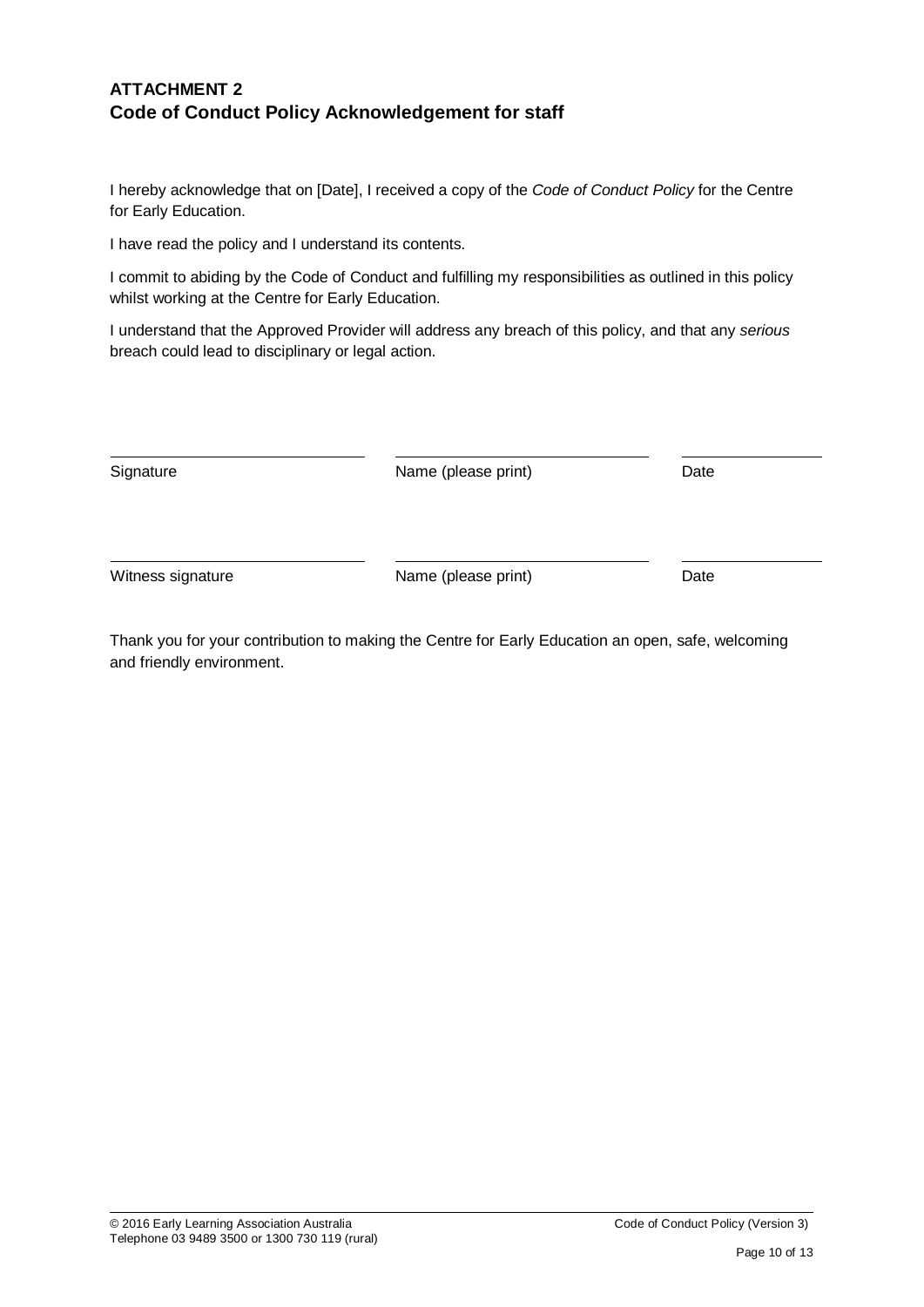# **ATTACHMENT 2 Code of Conduct Policy Acknowledgement for staff**

I hereby acknowledge that on [Date], I received a copy of the *Code of Conduct Policy* for the Centre for Early Education.

I have read the policy and I understand its contents.

I commit to abiding by the Code of Conduct and fulfilling my responsibilities as outlined in this policy whilst working at the Centre for Early Education.

I understand that the Approved Provider will address any breach of this policy, and that any *serious* breach could lead to disciplinary or legal action.

| Signature         | Name (please print) | Date |
|-------------------|---------------------|------|
| Witness signature | Name (please print) | Date |

Thank you for your contribution to making the Centre for Early Education an open, safe, welcoming and friendly environment.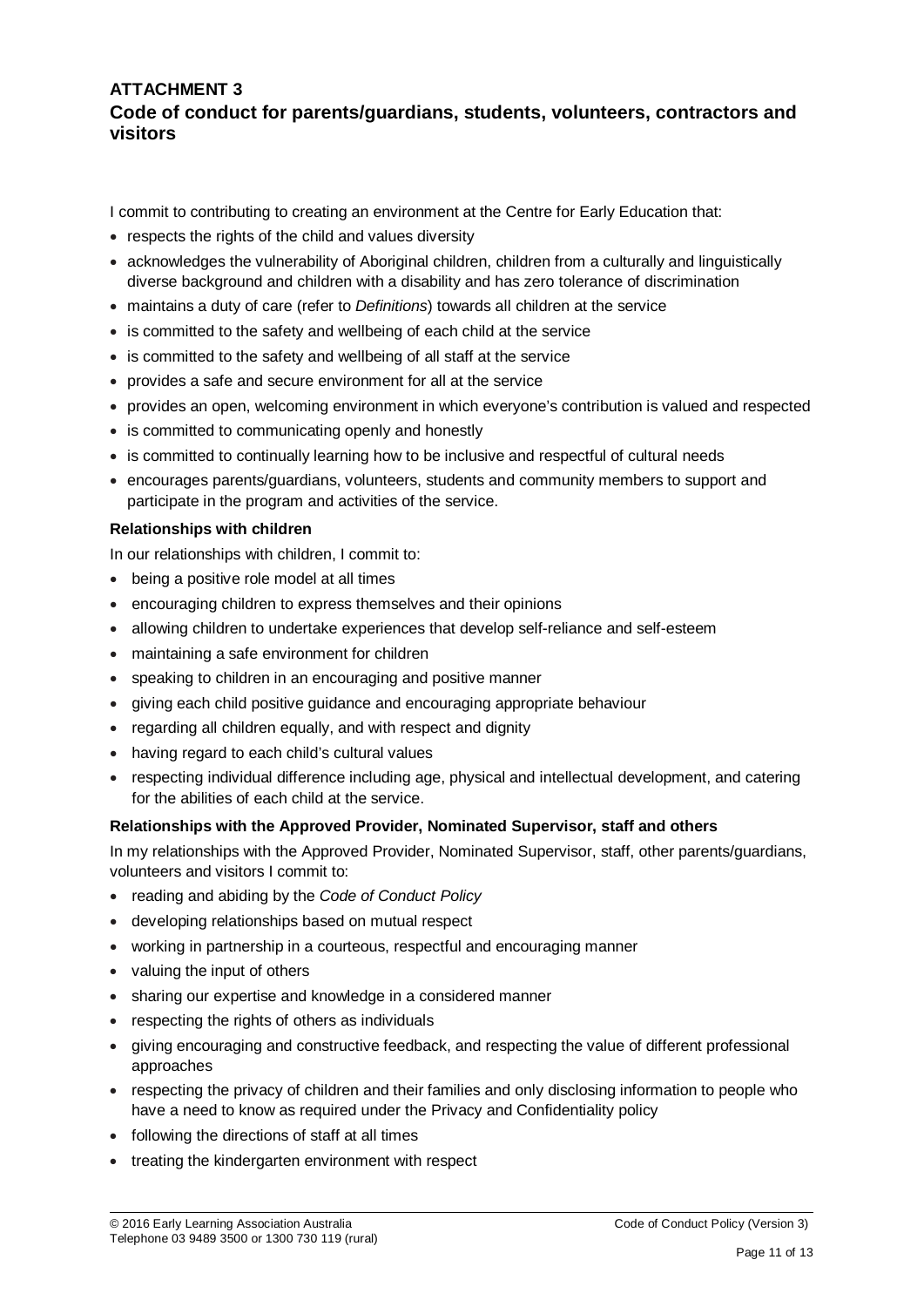# **ATTACHMENT 3 Code of conduct for parents/guardians, students, volunteers, contractors and visitors**

I commit to contributing to creating an environment at the Centre for Early Education that:

- respects the rights of the child and values diversity
- acknowledges the vulnerability of Aboriginal children, children from a culturally and linguistically diverse background and children with a disability and has zero tolerance of discrimination
- maintains a duty of care (refer to *Definitions*) towards all children at the service
- is committed to the safety and wellbeing of each child at the service
- is committed to the safety and wellbeing of all staff at the service
- provides a safe and secure environment for all at the service
- provides an open, welcoming environment in which everyone's contribution is valued and respected
- is committed to communicating openly and honestly
- is committed to continually learning how to be inclusive and respectful of cultural needs
- encourages parents/guardians, volunteers, students and community members to support and participate in the program and activities of the service.

#### **Relationships with children**

In our relationships with children, I commit to:

- being a positive role model at all times
- encouraging children to express themselves and their opinions
- allowing children to undertake experiences that develop self-reliance and self-esteem
- maintaining a safe environment for children
- speaking to children in an encouraging and positive manner
- giving each child positive guidance and encouraging appropriate behaviour
- regarding all children equally, and with respect and dignity
- having regard to each child's cultural values
- respecting individual difference including age, physical and intellectual development, and catering for the abilities of each child at the service.

#### **Relationships with the Approved Provider, Nominated Supervisor, staff and others**

In my relationships with the Approved Provider, Nominated Supervisor, staff, other parents/guardians, volunteers and visitors I commit to:

- reading and abiding by the *Code of Conduct Policy*
- developing relationships based on mutual respect
- working in partnership in a courteous, respectful and encouraging manner
- valuing the input of others
- sharing our expertise and knowledge in a considered manner
- respecting the rights of others as individuals
- giving encouraging and constructive feedback, and respecting the value of different professional approaches
- respecting the privacy of children and their families and only disclosing information to people who have a need to know as required under the Privacy and Confidentiality policy
- following the directions of staff at all times
- treating the kindergarten environment with respect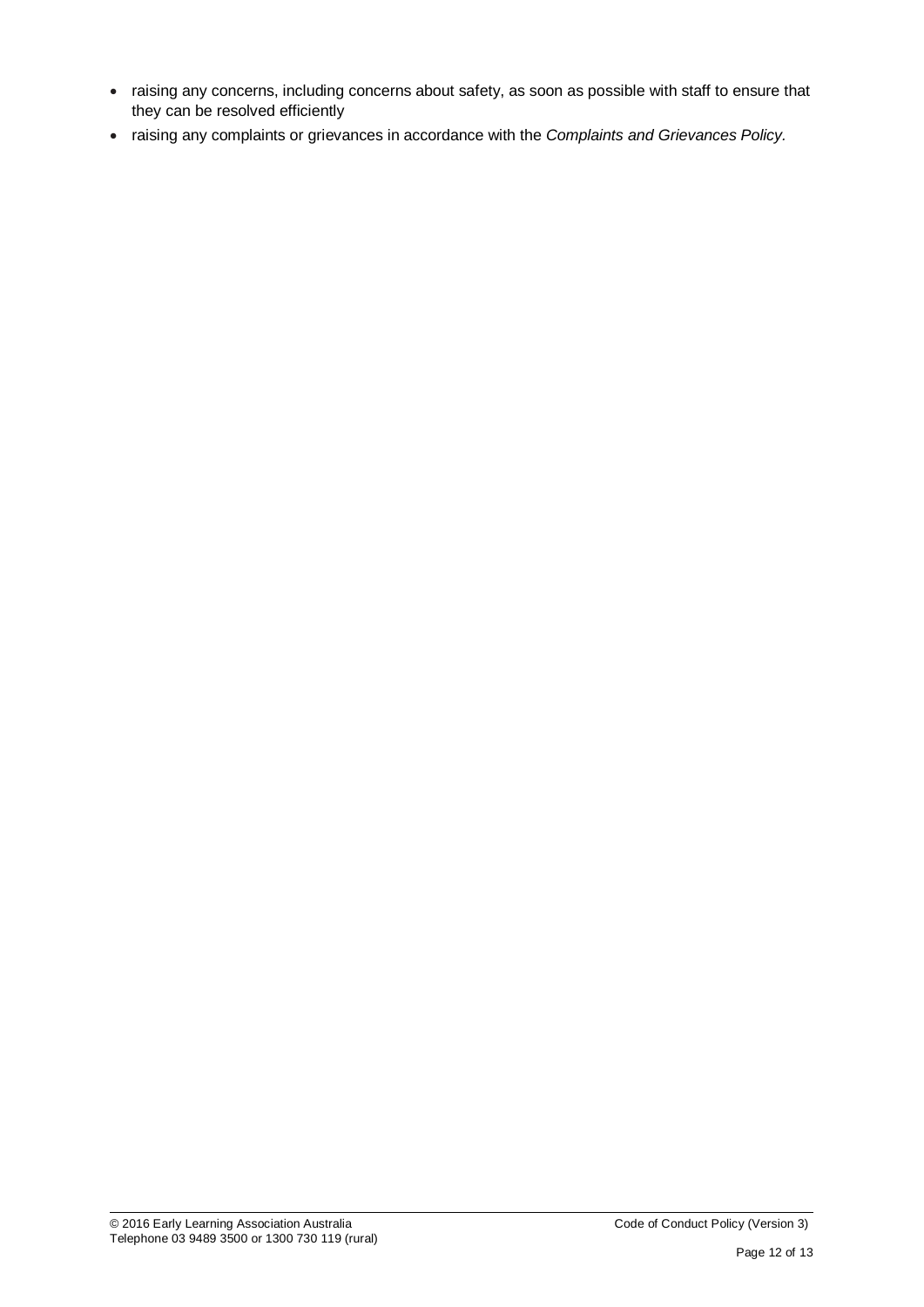- raising any concerns, including concerns about safety, as soon as possible with staff to ensure that they can be resolved efficiently
- raising any complaints or grievances in accordance with the *Complaints and Grievances Policy.*